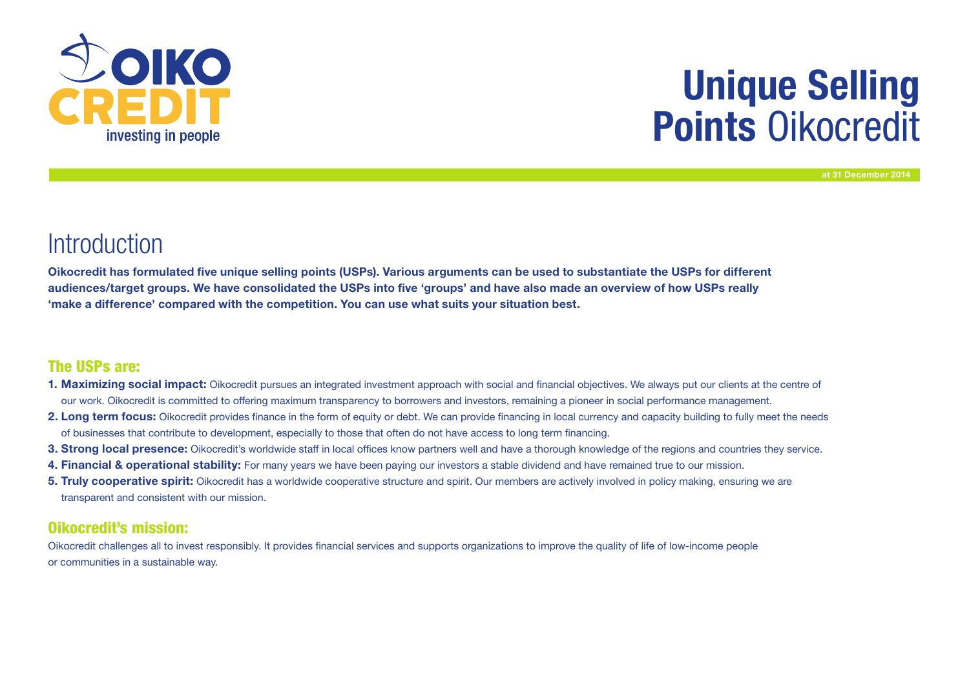

# Unique Selling Points Oikocredit

at 31 December 2014

## **Introduction**

Oikocredit has formulated five unique selling points (USPs). Various arguments can be used to substantiate the USPs for different audiences/target groups. We have consolidated the USPs into five 'groups' and have also made an overview of how USPs really 'make a difference' compared with the competition. You can use what suits your situation best.

#### The USPs are:

- 1. Maximizing social impact: Oikocredit pursues an integrated investment approach with social and financial objectives. We always put our clients at the centre of our work. Oikocredit is committed to offering maximum transparency to borrowers and investors, remaining a pioneer in social performance management.
- 2. Long term focus: Oikocredit provides finance in the form of equity or debt. We can provide financing in local currency and capacity building to fully meet the needs of businesses that contribute to development, especially to those that often do not have access to long term financing.
- 3. Strong local presence: Oikocredit's worldwide staff in local offices know partners well and have a thorough knowledge of the regions and countries they service.
- 4. Financial & operational stability: For many years we have been paying our investors a stable dividend and have remained true to our mission.
- 5. Truly cooperative spirit: Oikocredit has a worldwide cooperative structure and spirit. Our members are actively involved in policy making, ensuring we are transparent and consistent with our mission.

#### Oikocredit's mission:

Oikocredit challenges all to invest responsibly. It provides financial services and supports organizations to improve the quality of life of low-income people or communities in a sustainable way.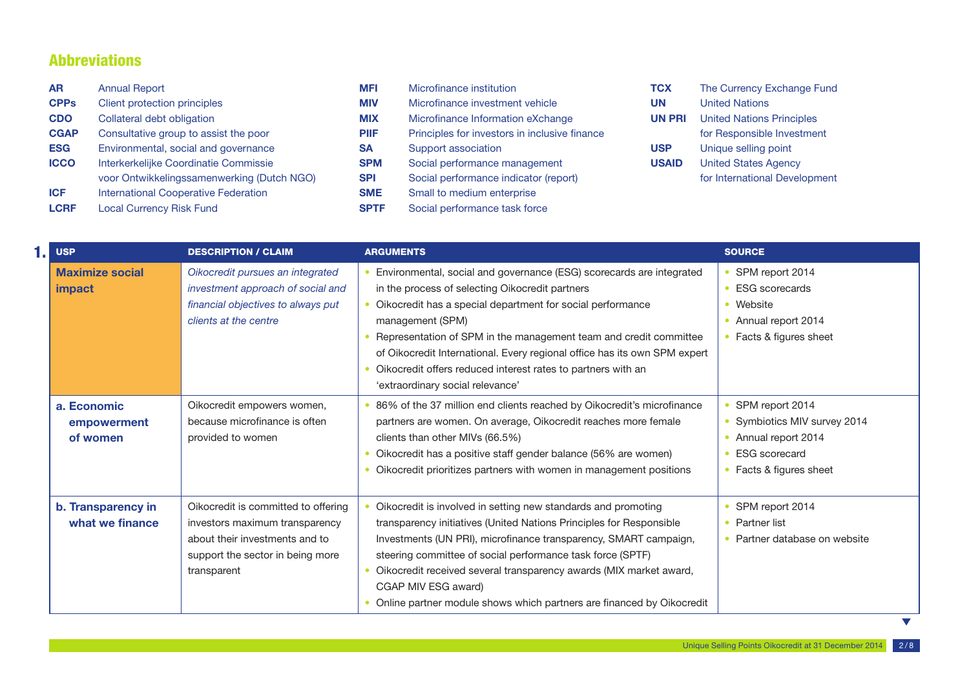### Abbreviations

| <b>AR</b>              | <b>Annual Report</b>                        | <b>MFI</b>  | Microfinance institution                      | TCX           | The Currency Exchange Fund       |
|------------------------|---------------------------------------------|-------------|-----------------------------------------------|---------------|----------------------------------|
| <b>CPP<sub>s</sub></b> | Client protection principles                | <b>MIV</b>  | Microfinance investment vehicle               | <b>UN</b>     | <b>United Nations</b>            |
| <b>CDO</b>             | Collateral debt obligation                  | <b>MIX</b>  | Microfinance Information eXchange             | <b>UN PRI</b> | <b>United Nations Principles</b> |
| <b>CGAP</b>            | Consultative group to assist the poor       | <b>PIIF</b> | Principles for investors in inclusive finance |               | for Responsible Investment       |
| <b>ESG</b>             | Environmental, social and governance        | <b>SA</b>   | Support association                           | <b>USP</b>    | Unique selling point             |
| <b>ICCO</b>            | Interkerkelijke Coordinatie Commissie       | <b>SPM</b>  | Social performance management                 | <b>USAID</b>  | <b>United States Agency</b>      |
|                        | voor Ontwikkelingssamenwerking (Dutch NGO)  | <b>SPI</b>  | Social performance indicator (report)         |               | for International Development    |
| <b>ICF</b>             | <b>International Cooperative Federation</b> | <b>SME</b>  | Small to medium enterprise                    |               |                                  |
| <b>LCRF</b>            | <b>Local Currency Risk Fund</b>             | <b>SPTF</b> | Social performance task force                 |               |                                  |

| <b>USP</b>                             | <b>DESCRIPTION / CLAIM</b>                                                                                                                                 | <b>ARGUMENTS</b>                                                                                                                                                                                                                                                                                                                                                                                                                                                  | <b>SOURCE</b>                                                                                                                             |
|----------------------------------------|------------------------------------------------------------------------------------------------------------------------------------------------------------|-------------------------------------------------------------------------------------------------------------------------------------------------------------------------------------------------------------------------------------------------------------------------------------------------------------------------------------------------------------------------------------------------------------------------------------------------------------------|-------------------------------------------------------------------------------------------------------------------------------------------|
| <b>Maximize social</b><br>impact       | Oikocredit pursues an integrated<br>investment approach of social and<br>financial objectives to always put<br>clients at the centre                       | Environmental, social and governance (ESG) scorecards are integrated<br>in the process of selecting Oikocredit partners<br>• Oikocredit has a special department for social performance<br>management (SPM)<br>Representation of SPM in the management team and credit committee<br>of Oikocredit International. Every regional office has its own SPM expert<br>Oikocredit offers reduced interest rates to partners with an<br>'extraordinary social relevance' | • SPM report 2014<br><b>ESG</b> scorecards<br>$\bullet$<br>• Website<br>• Annual report 2014<br>• Facts & figures sheet                   |
| a. Economic<br>empowerment<br>of women | Oikocredit empowers women,<br>because microfinance is often<br>provided to women                                                                           | 86% of the 37 million end clients reached by Oikocredit's microfinance<br>partners are women. On average, Oikocredit reaches more female<br>clients than other MIVs (66.5%)<br>Oikocredit has a positive staff gender balance (56% are women)<br>Oikocredit prioritizes partners with women in management positions                                                                                                                                               | • SPM report 2014<br>• Symbiotics MIV survey 2014<br>• Annual report 2014<br><b>ESG</b> scorecard<br>$\bullet$<br>• Facts & figures sheet |
| b. Transparency in<br>what we finance  | Oikocredit is committed to offering<br>investors maximum transparency<br>about their investments and to<br>support the sector in being more<br>transparent | Oikocredit is involved in setting new standards and promoting<br>transparency initiatives (United Nations Principles for Responsible<br>Investments (UN PRI), microfinance transparency, SMART campaign,<br>steering committee of social performance task force (SPTF)<br>Oikocredit received several transparency awards (MIX market award,<br>CGAP MIV ESG award)<br>• Online partner module shows which partners are financed by Oikocredit                    | • SPM report 2014<br>• Partner list<br>• Partner database on website                                                                      |

 $\blacktriangledown$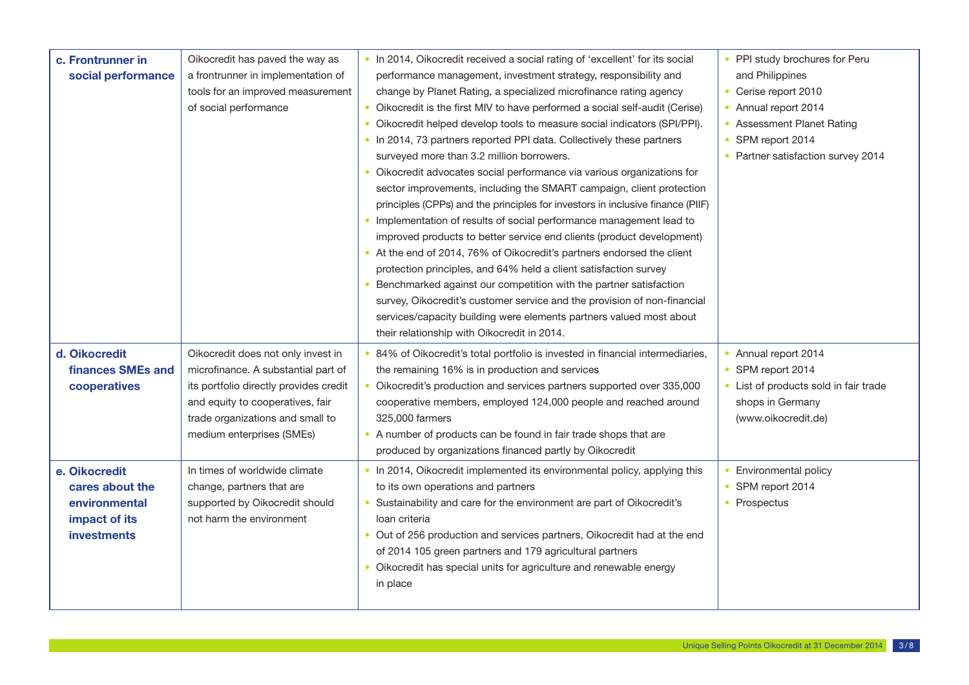| c. Frontrunner in<br>social performance                                                  | Oikocredit has paved the way as<br>a frontrunner in implementation of<br>tools for an improved measurement<br>of social performance                                                                                      | . In 2014, Oikocredit received a social rating of 'excellent' for its social<br>performance management, investment strategy, responsibility and<br>change by Planet Rating, a specialized microfinance rating agency<br>• Oikocredit is the first MIV to have performed a social self-audit (Cerise)<br>• Oikocredit helped develop tools to measure social indicators (SPI/PPI).<br>. In 2014, 73 partners reported PPI data. Collectively these partners<br>surveyed more than 3.2 million borrowers.<br>• Oikocredit advocates social performance via various organizations for<br>sector improvements, including the SMART campaign, client protection<br>principles (CPPs) and the principles for investors in inclusive finance (PIIF)<br>• Implementation of results of social performance management lead to<br>improved products to better service end clients (product development)<br>• At the end of 2014, 76% of Oikocredit's partners endorsed the client<br>protection principles, and 64% held a client satisfaction survey<br>Benchmarked against our competition with the partner satisfaction<br>survey, Oikocredit's customer service and the provision of non-financial<br>services/capacity building were elements partners valued most about<br>their relationship with Oikocredit in 2014. | • PPI study brochures for Peru<br>and Philippines<br>• Cerise report 2010<br>• Annual report 2014<br>• Assessment Planet Rating<br>• SPM report 2014<br>• Partner satisfaction survey 2014 |
|------------------------------------------------------------------------------------------|--------------------------------------------------------------------------------------------------------------------------------------------------------------------------------------------------------------------------|--------------------------------------------------------------------------------------------------------------------------------------------------------------------------------------------------------------------------------------------------------------------------------------------------------------------------------------------------------------------------------------------------------------------------------------------------------------------------------------------------------------------------------------------------------------------------------------------------------------------------------------------------------------------------------------------------------------------------------------------------------------------------------------------------------------------------------------------------------------------------------------------------------------------------------------------------------------------------------------------------------------------------------------------------------------------------------------------------------------------------------------------------------------------------------------------------------------------------------------------------------------------------------------------------------------------|--------------------------------------------------------------------------------------------------------------------------------------------------------------------------------------------|
| d. Oikocredit<br>finances SMEs and<br>cooperatives                                       | Oikocredit does not only invest in<br>microfinance. A substantial part of<br>its portfolio directly provides credit<br>and equity to cooperatives, fair<br>trade organizations and small to<br>medium enterprises (SMEs) | • 84% of Oikocredit's total portfolio is invested in financial intermediaries,<br>the remaining 16% is in production and services<br>• Oikocredit's production and services partners supported over 335,000<br>cooperative members, employed 124,000 people and reached around<br>325,000 farmers<br>• A number of products can be found in fair trade shops that are<br>produced by organizations financed partly by Oikocredit                                                                                                                                                                                                                                                                                                                                                                                                                                                                                                                                                                                                                                                                                                                                                                                                                                                                                   | • Annual report 2014<br>• SPM report 2014<br>• List of products sold in fair trade<br>shops in Germany<br>(www.oikocredit.de)                                                              |
| e. Oikocredit<br>cares about the<br>environmental<br>impact of its<br><b>investments</b> | In times of worldwide climate<br>change, partners that are<br>supported by Oikocredit should<br>not harm the environment                                                                                                 | • In 2014, Oikocredit implemented its environmental policy, applying this<br>to its own operations and partners<br>Sustainability and care for the environment are part of Oikocredit's<br>loan criteria<br>• Out of 256 production and services partners, Oikocredit had at the end<br>of 2014 105 green partners and 179 agricultural partners<br>• Oikocredit has special units for agriculture and renewable energy<br>in place                                                                                                                                                                                                                                                                                                                                                                                                                                                                                                                                                                                                                                                                                                                                                                                                                                                                                | • Environmental policy<br>SPM report 2014<br>$\bullet$<br>• Prospectus                                                                                                                     |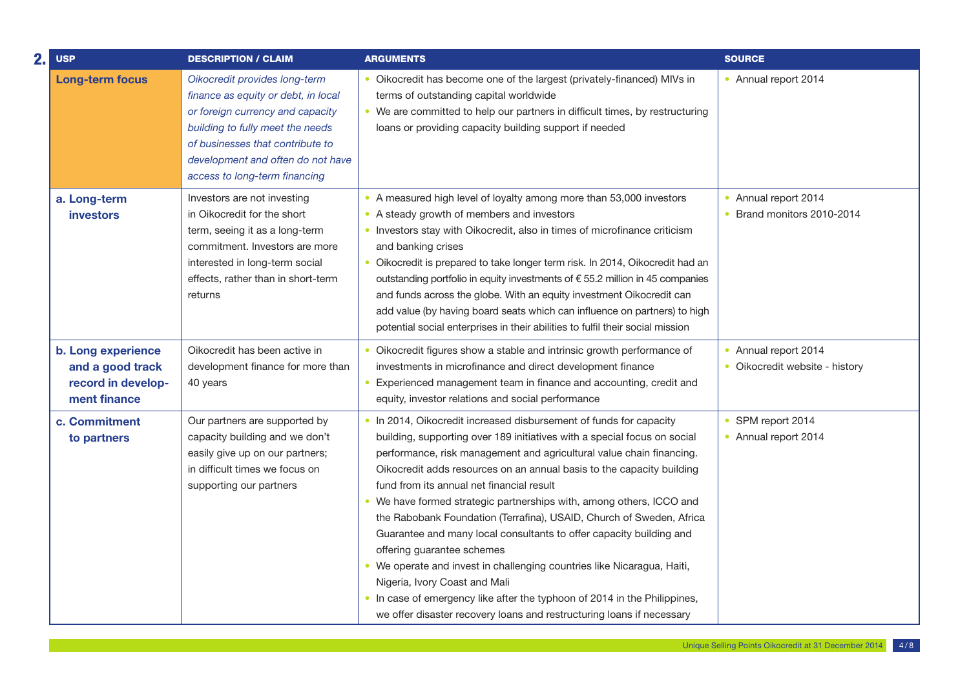| 2. | <b>USP</b>                                                                   | <b>DESCRIPTION / CLAIM</b>                                                                                                                                                                                                                             | <b>ARGUMENTS</b>                                                                                                                                                                                                                                                                                                                                                                                                                                                                                                                                                                                                                                                                                                                                                                                                                                                    | <b>SOURCE</b>                                          |
|----|------------------------------------------------------------------------------|--------------------------------------------------------------------------------------------------------------------------------------------------------------------------------------------------------------------------------------------------------|---------------------------------------------------------------------------------------------------------------------------------------------------------------------------------------------------------------------------------------------------------------------------------------------------------------------------------------------------------------------------------------------------------------------------------------------------------------------------------------------------------------------------------------------------------------------------------------------------------------------------------------------------------------------------------------------------------------------------------------------------------------------------------------------------------------------------------------------------------------------|--------------------------------------------------------|
|    | <b>Long-term focus</b>                                                       | Oikocredit provides long-term<br>finance as equity or debt, in local<br>or foreign currency and capacity<br>building to fully meet the needs<br>of businesses that contribute to<br>development and often do not have<br>access to long-term financing | Oikocredit has become one of the largest (privately-financed) MIVs in<br>terms of outstanding capital worldwide<br>• We are committed to help our partners in difficult times, by restructuring<br>loans or providing capacity building support if needed                                                                                                                                                                                                                                                                                                                                                                                                                                                                                                                                                                                                           | • Annual report 2014                                   |
|    | a. Long-term<br><b>investors</b>                                             | Investors are not investing<br>in Oikocredit for the short<br>term, seeing it as a long-term<br>commitment. Investors are more<br>interested in long-term social<br>effects, rather than in short-term<br>returns                                      | • A measured high level of loyalty among more than 53,000 investors<br>• A steady growth of members and investors<br>• Investors stay with Oikocredit, also in times of microfinance criticism<br>and banking crises<br>• Oikocredit is prepared to take longer term risk. In 2014, Oikocredit had an<br>outstanding portfolio in equity investments of € 55.2 million in 45 companies<br>and funds across the globe. With an equity investment Oikocredit can<br>add value (by having board seats which can influence on partners) to high<br>potential social enterprises in their abilities to fulfil their social mission                                                                                                                                                                                                                                       | • Annual report 2014<br>Brand monitors 2010-2014       |
|    | b. Long experience<br>and a good track<br>record in develop-<br>ment finance | Oikocredit has been active in<br>development finance for more than<br>40 years                                                                                                                                                                         | • Oikocredit figures show a stable and intrinsic growth performance of<br>investments in microfinance and direct development finance<br>• Experienced management team in finance and accounting, credit and<br>equity, investor relations and social performance                                                                                                                                                                                                                                                                                                                                                                                                                                                                                                                                                                                                    | • Annual report 2014<br>• Oikocredit website - history |
|    | c. Commitment<br>to partners                                                 | Our partners are supported by<br>capacity building and we don't<br>easily give up on our partners;<br>in difficult times we focus on<br>supporting our partners                                                                                        | . In 2014, Oikocredit increased disbursement of funds for capacity<br>building, supporting over 189 initiatives with a special focus on social<br>performance, risk management and agricultural value chain financing.<br>Oikocredit adds resources on an annual basis to the capacity building<br>fund from its annual net financial result<br>• We have formed strategic partnerships with, among others, ICCO and<br>the Rabobank Foundation (Terrafina), USAID, Church of Sweden, Africa<br>Guarantee and many local consultants to offer capacity building and<br>offering guarantee schemes<br>• We operate and invest in challenging countries like Nicaragua, Haiti,<br>Nigeria, Ivory Coast and Mali<br>. In case of emergency like after the typhoon of 2014 in the Philippines,<br>we offer disaster recovery loans and restructuring loans if necessary | • SPM report 2014<br>• Annual report 2014              |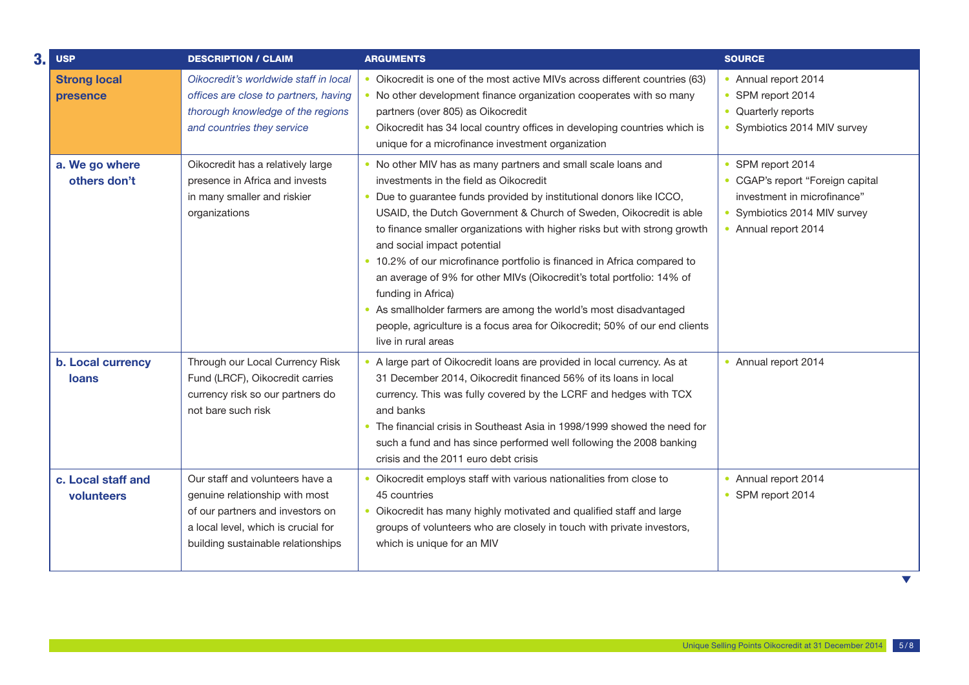| 3. | <b>USP</b>                        | <b>DESCRIPTION / CLAIM</b>                                                                                                                                                         | <b>ARGUMENTS</b>                                                                                                                                                                                                                                                                                                                                                                                                                                                                                                                                                                                                                                                                                                    | <b>SOURCE</b>                                                                                                                                |
|----|-----------------------------------|------------------------------------------------------------------------------------------------------------------------------------------------------------------------------------|---------------------------------------------------------------------------------------------------------------------------------------------------------------------------------------------------------------------------------------------------------------------------------------------------------------------------------------------------------------------------------------------------------------------------------------------------------------------------------------------------------------------------------------------------------------------------------------------------------------------------------------------------------------------------------------------------------------------|----------------------------------------------------------------------------------------------------------------------------------------------|
|    | <b>Strong local</b><br>presence   | Oikocredit's worldwide staff in local<br>offices are close to partners, having<br>thorough knowledge of the regions<br>and countries they service                                  | Oikocredit is one of the most active MIVs across different countries (63)<br>No other development finance organization cooperates with so many<br>partners (over 805) as Oikocredit<br>• Oikocredit has 34 local country offices in developing countries which is<br>unique for a microfinance investment organization                                                                                                                                                                                                                                                                                                                                                                                              | • Annual report 2014<br>• SPM report 2014<br>• Quarterly reports<br>• Symbiotics 2014 MIV survey                                             |
|    | a. We go where<br>others don't    | Oikocredit has a relatively large<br>presence in Africa and invests<br>in many smaller and riskier<br>organizations                                                                | • No other MIV has as many partners and small scale loans and<br>investments in the field as Oikocredit<br>• Due to guarantee funds provided by institutional donors like ICCO,<br>USAID, the Dutch Government & Church of Sweden, Oikocredit is able<br>to finance smaller organizations with higher risks but with strong growth<br>and social impact potential<br>• 10.2% of our microfinance portfolio is financed in Africa compared to<br>an average of 9% for other MIVs (Oikocredit's total portfolio: 14% of<br>funding in Africa)<br>As smallholder farmers are among the world's most disadvantaged<br>people, agriculture is a focus area for Oikocredit; 50% of our end clients<br>live in rural areas | • SPM report 2014<br>• CGAP's report "Foreign capital<br>investment in microfinance"<br>• Symbiotics 2014 MIV survey<br>• Annual report 2014 |
|    | b. Local currency<br><b>loans</b> | Through our Local Currency Risk<br>Fund (LRCF), Oikocredit carries<br>currency risk so our partners do<br>not bare such risk                                                       | A large part of Oikocredit loans are provided in local currency. As at<br>31 December 2014, Oikocredit financed 56% of its loans in local<br>currency. This was fully covered by the LCRF and hedges with TCX<br>and banks<br>• The financial crisis in Southeast Asia in 1998/1999 showed the need for<br>such a fund and has since performed well following the 2008 banking<br>crisis and the 2011 euro debt crisis                                                                                                                                                                                                                                                                                              | • Annual report 2014                                                                                                                         |
|    | c. Local staff and<br>volunteers  | Our staff and volunteers have a<br>genuine relationship with most<br>of our partners and investors on<br>a local level, which is crucial for<br>building sustainable relationships | Oikocredit employs staff with various nationalities from close to<br>45 countries<br>Oikocredit has many highly motivated and qualified staff and large<br>groups of volunteers who are closely in touch with private investors,<br>which is unique for an MIV                                                                                                                                                                                                                                                                                                                                                                                                                                                      | • Annual report 2014<br>• SPM report 2014<br>$\blacktriangledown$                                                                            |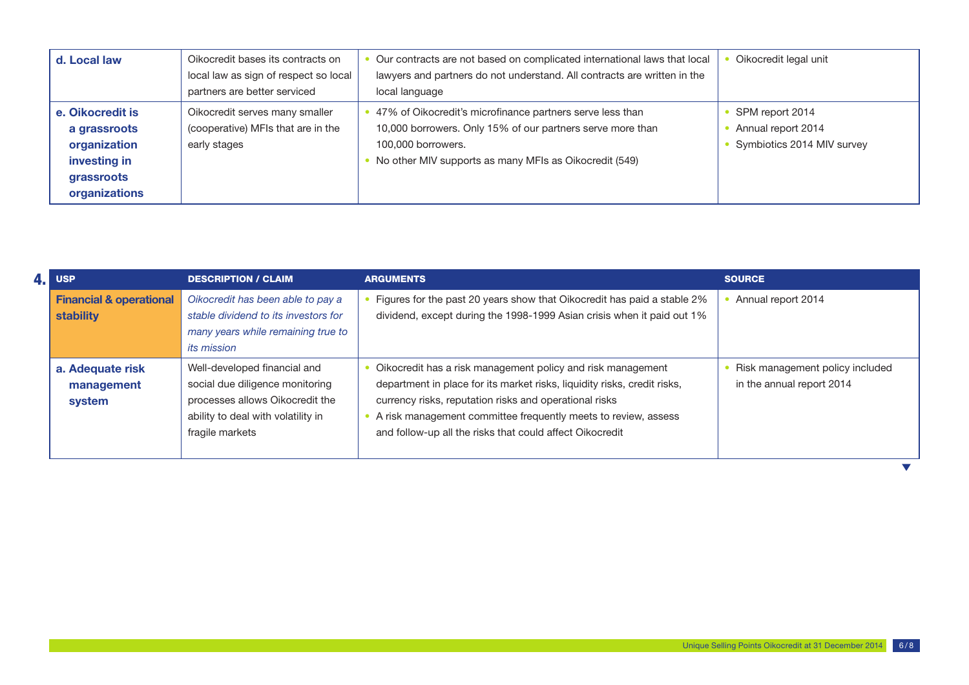| d. Local law                                                                                    | Oikocredit bases its contracts on<br>local law as sign of respect so local<br>partners are better serviced | Our contracts are not based on complicated international laws that local<br>lawyers and partners do not understand. All contracts are written in the<br>local language                                  | Oikocredit legal unit                                               |
|-------------------------------------------------------------------------------------------------|------------------------------------------------------------------------------------------------------------|---------------------------------------------------------------------------------------------------------------------------------------------------------------------------------------------------------|---------------------------------------------------------------------|
| e. Oikocredit is<br>a grassroots<br>organization<br>investing in<br>grassroots<br>organizations | Oikocredit serves many smaller<br>(cooperative) MFIs that are in the<br>early stages                       | 47% of Oikocredit's microfinance partners serve less than<br>10,000 borrowers. Only 15% of our partners serve more than<br>100,000 borrowers.<br>No other MIV supports as many MFIs as Oikocredit (549) | SPM report 2014<br>Annual report 2014<br>Symbiotics 2014 MIV survey |

| $4.$ USP                                               | <b>DESCRIPTION / CLAIM</b>                                                                                                                                  | <b>ARGUMENTS</b>                                                                                                                                                                                                                                                                                                                | <b>SOURCE</b>                                                |
|--------------------------------------------------------|-------------------------------------------------------------------------------------------------------------------------------------------------------------|---------------------------------------------------------------------------------------------------------------------------------------------------------------------------------------------------------------------------------------------------------------------------------------------------------------------------------|--------------------------------------------------------------|
| <b>Financial &amp; operational</b><br><b>stability</b> | Oikocredit has been able to pay a<br>stable dividend to its investors for                                                                                   | Figures for the past 20 years show that Oikocredit has paid a stable 2%<br>dividend, except during the 1998-1999 Asian crisis when it paid out 1%                                                                                                                                                                               | Annual report 2014                                           |
|                                                        | many years while remaining true to<br><i>its mission</i>                                                                                                    |                                                                                                                                                                                                                                                                                                                                 |                                                              |
| a. Adequate risk<br>management<br>system               | Well-developed financial and<br>social due diligence monitoring<br>processes allows Oikocredit the<br>ability to deal with volatility in<br>fragile markets | Oikocredit has a risk management policy and risk management<br>department in place for its market risks, liquidity risks, credit risks,<br>currency risks, reputation risks and operational risks<br>A risk management committee frequently meets to review, assess<br>and follow-up all the risks that could affect Oikocredit | Risk management policy included<br>in the annual report 2014 |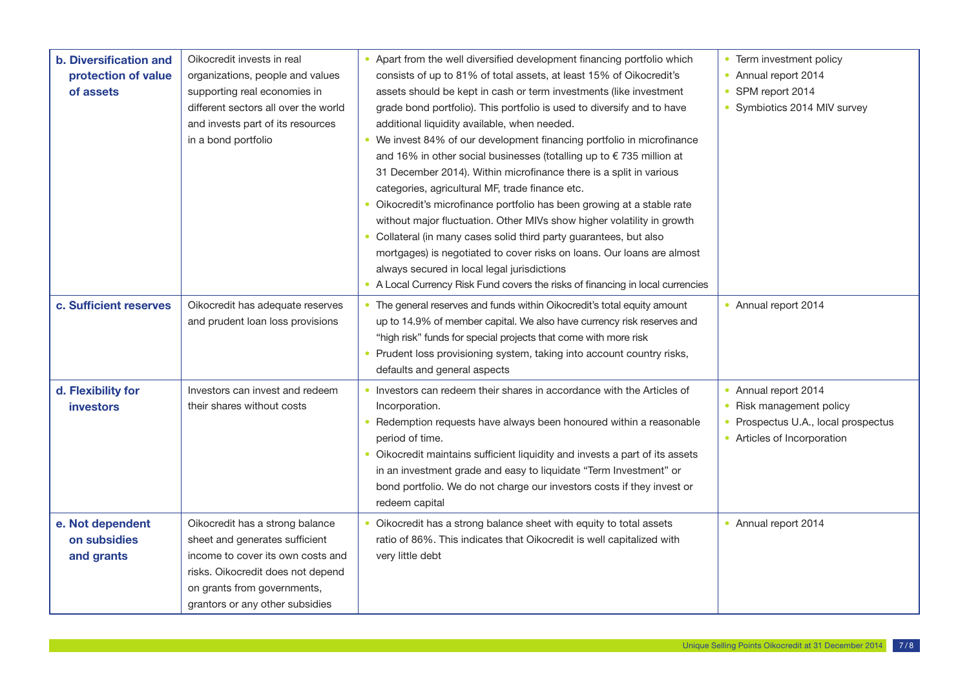| <b>b. Diversification and</b><br>protection of value<br>of assets | Oikocredit invests in real<br>organizations, people and values<br>supporting real economies in<br>different sectors all over the world<br>and invests part of its resources<br>in a bond portfolio            | • Apart from the well diversified development financing portfolio which<br>consists of up to 81% of total assets, at least 15% of Oikocredit's<br>assets should be kept in cash or term investments (like investment<br>grade bond portfolio). This portfolio is used to diversify and to have<br>additional liquidity available, when needed.<br>• We invest 84% of our development financing portfolio in microfinance<br>and 16% in other social businesses (totalling up to €735 million at<br>31 December 2014). Within microfinance there is a split in various<br>categories, agricultural MF, trade finance etc.<br>• Oikocredit's microfinance portfolio has been growing at a stable rate<br>without major fluctuation. Other MIVs show higher volatility in growth<br>Collateral (in many cases solid third party guarantees, but also<br>mortgages) is negotiated to cover risks on loans. Our loans are almost<br>always secured in local legal jurisdictions<br>• A Local Currency Risk Fund covers the risks of financing in local currencies | • Term investment policy<br>• Annual report 2014<br>• SPM report 2014<br>• Symbiotics 2014 MIV survey                  |
|-------------------------------------------------------------------|---------------------------------------------------------------------------------------------------------------------------------------------------------------------------------------------------------------|--------------------------------------------------------------------------------------------------------------------------------------------------------------------------------------------------------------------------------------------------------------------------------------------------------------------------------------------------------------------------------------------------------------------------------------------------------------------------------------------------------------------------------------------------------------------------------------------------------------------------------------------------------------------------------------------------------------------------------------------------------------------------------------------------------------------------------------------------------------------------------------------------------------------------------------------------------------------------------------------------------------------------------------------------------------|------------------------------------------------------------------------------------------------------------------------|
| c. Sufficient reserves                                            | Oikocredit has adequate reserves<br>and prudent loan loss provisions                                                                                                                                          | • The general reserves and funds within Oikocredit's total equity amount<br>up to 14.9% of member capital. We also have currency risk reserves and<br>"high risk" funds for special projects that come with more risk<br>• Prudent loss provisioning system, taking into account country risks,<br>defaults and general aspects                                                                                                                                                                                                                                                                                                                                                                                                                                                                                                                                                                                                                                                                                                                              | • Annual report 2014                                                                                                   |
| d. Flexibility for<br><b>investors</b>                            | Investors can invest and redeem<br>their shares without costs                                                                                                                                                 | • Investors can redeem their shares in accordance with the Articles of<br>Incorporation.<br>• Redemption requests have always been honoured within a reasonable<br>period of time.<br>Oikocredit maintains sufficient liquidity and invests a part of its assets<br>in an investment grade and easy to liquidate "Term Investment" or<br>bond portfolio. We do not charge our investors costs if they invest or<br>redeem capital                                                                                                                                                                                                                                                                                                                                                                                                                                                                                                                                                                                                                            | • Annual report 2014<br>• Risk management policy<br>• Prospectus U.A., local prospectus<br>• Articles of Incorporation |
| e. Not dependent<br>on subsidies<br>and grants                    | Oikocredit has a strong balance<br>sheet and generates sufficient<br>income to cover its own costs and<br>risks. Oikocredit does not depend<br>on grants from governments,<br>grantors or any other subsidies | Oikocredit has a strong balance sheet with equity to total assets<br>ratio of 86%. This indicates that Oikocredit is well capitalized with<br>very little debt                                                                                                                                                                                                                                                                                                                                                                                                                                                                                                                                                                                                                                                                                                                                                                                                                                                                                               | • Annual report 2014                                                                                                   |